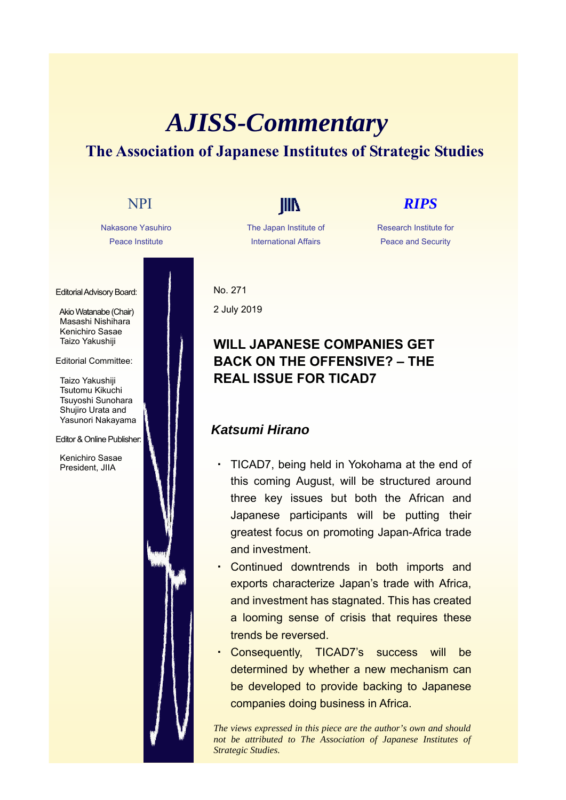# *AJISS-Commentary* **The Association of Japanese Institutes of Strategic Studies**

Nakasone Yasuhiro Peace Institute

Editorial Advisory Board:

Akio Watanabe (Chair) Masashi Nishihara Kenichiro Sasae Taizo Yakushiji

### Editorial Committee:

Taizo Yakushiji Tsutomu Kikuchi Tsuyoshi Sunohara Shujiro Urata and Yasunori Nakayama

### Editor & Online Publisher:

Kenichiro Sasae President, JIIA

The Japan Institute of International Affairs

## NPI **IIII** *RIPS*

Research Institute for Peace and Security

No. 271 2 July 2019

## **WILL JAPANESE COMPANIES GET BACK ON THE OFFENSIVE? – THE REAL ISSUE FOR TICAD7**

## *Katsumi Hirano*

- TICAD7, being held in Yokohama at the end of this coming August, will be structured around three key issues but both the African and Japanese participants will be putting their greatest focus on promoting Japan-Africa trade and investment.
- Continued downtrends in both imports and exports characterize Japan's trade with Africa, and investment has stagnated. This has created a looming sense of crisis that requires these trends be reversed.
- Consequently, TICAD7's success will be determined by whether a new mechanism can be developed to provide backing to Japanese companies doing business in Africa.

*The views expressed in this piece are the author's own and should not be attributed to The Association of Japanese Institutes of Strategic Studies.*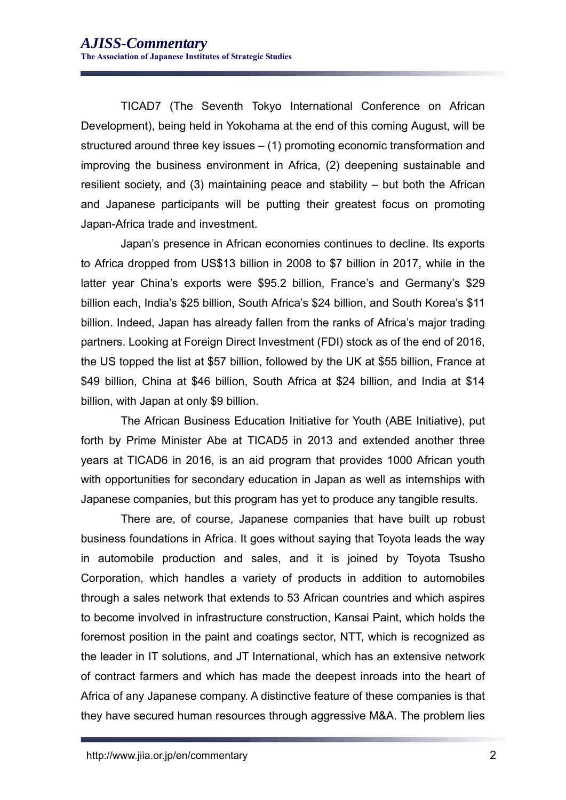TICAD7 (The Seventh Tokyo International Conference on African Development), being held in Yokohama at the end of this coming August, will be structured around three key issues – (1) promoting economic transformation and improving the business environment in Africa, (2) deepening sustainable and resilient society, and (3) maintaining peace and stability – but both the African and Japanese participants will be putting their greatest focus on promoting Japan-Africa trade and investment.

Japan's presence in African economies continues to decline. Its exports to Africa dropped from US\$13 billion in 2008 to \$7 billion in 2017, while in the latter year China's exports were \$95.2 billion, France's and Germany's \$29 billion each, India's \$25 billion, South Africa's \$24 billion, and South Korea's \$11 billion. Indeed, Japan has already fallen from the ranks of Africa's major trading partners. Looking at Foreign Direct Investment (FDI) stock as of the end of 2016, the US topped the list at \$57 billion, followed by the UK at \$55 billion, France at \$49 billion, China at \$46 billion, South Africa at \$24 billion, and India at \$14 billion, with Japan at only \$9 billion.

The African Business Education Initiative for Youth (ABE Initiative), put forth by Prime Minister Abe at TICAD5 in 2013 and extended another three years at TICAD6 in 2016, is an aid program that provides 1000 African youth with opportunities for secondary education in Japan as well as internships with Japanese companies, but this program has yet to produce any tangible results.

There are, of course, Japanese companies that have built up robust business foundations in Africa. It goes without saying that Toyota leads the way in automobile production and sales, and it is joined by Toyota Tsusho Corporation, which handles a variety of products in addition to automobiles through a sales network that extends to 53 African countries and which aspires to become involved in infrastructure construction, Kansai Paint, which holds the foremost position in the paint and coatings sector, NTT, which is recognized as the leader in IT solutions, and JT International, which has an extensive network of contract farmers and which has made the deepest inroads into the heart of Africa of any Japanese company. A distinctive feature of these companies is that they have secured human resources through aggressive M&A. The problem lies